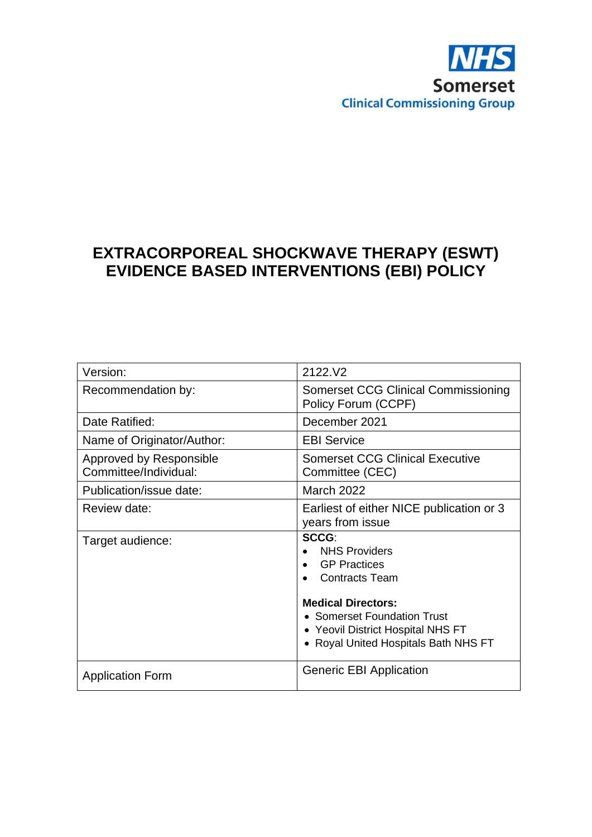

# **EXTRACORPOREAL SHOCKWAVE THERAPY (ESWT) EVIDENCE BASED INTERVENTIONS (EBI) POLICY**

| Version:                                         | 2122.V2                                                                                                                                                                                                                |
|--------------------------------------------------|------------------------------------------------------------------------------------------------------------------------------------------------------------------------------------------------------------------------|
| Recommendation by:                               | Somerset CCG Clinical Commissioning<br>Policy Forum (CCPF)                                                                                                                                                             |
| Date Ratified:                                   | December 2021                                                                                                                                                                                                          |
| Name of Originator/Author:                       | <b>EBI Service</b>                                                                                                                                                                                                     |
| Approved by Responsible<br>Committee/Individual: | <b>Somerset CCG Clinical Executive</b><br>Committee (CEC)                                                                                                                                                              |
| Publication/issue date:                          | <b>March 2022</b>                                                                                                                                                                                                      |
| Review date:                                     | Earliest of either NICE publication or 3<br>years from issue                                                                                                                                                           |
| Target audience:                                 | SCCG:<br><b>NHS Providers</b><br><b>GP Practices</b><br><b>Contracts Team</b><br><b>Medical Directors:</b><br>• Somerset Foundation Trust<br>• Yeovil District Hospital NHS FT<br>• Royal United Hospitals Bath NHS FT |
| <b>Application Form</b>                          | <b>Generic EBI Application</b>                                                                                                                                                                                         |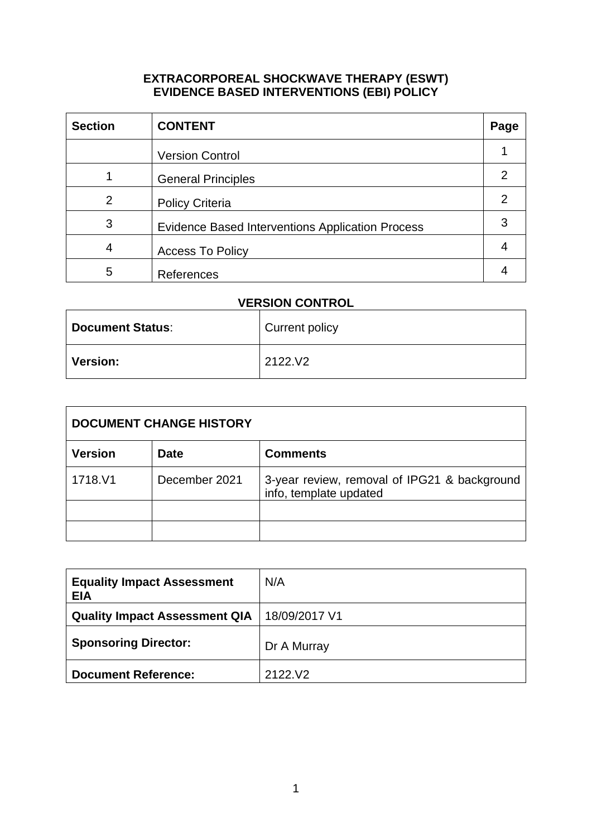#### **EXTRACORPOREAL SHOCKWAVE THERAPY (ESWT) EVIDENCE BASED INTERVENTIONS (EBI) POLICY**

| <b>Section</b> | <b>CONTENT</b>                                          | Page |
|----------------|---------------------------------------------------------|------|
|                | <b>Version Control</b>                                  |      |
|                | <b>General Principles</b>                               |      |
| $\overline{2}$ | <b>Policy Criteria</b>                                  |      |
| 3              | <b>Evidence Based Interventions Application Process</b> |      |
| 4              | <b>Access To Policy</b>                                 |      |
| 5              | References                                              |      |

## **VERSION CONTROL**

| <b>Document Status:</b> | Current policy |
|-------------------------|----------------|
| <b>Version:</b>         | 2122.V2        |

| <b>DOCUMENT CHANGE HISTORY</b> |               |                                                                        |  |  |
|--------------------------------|---------------|------------------------------------------------------------------------|--|--|
| <b>Version</b>                 | <b>Date</b>   | <b>Comments</b>                                                        |  |  |
| 1718.V1                        | December 2021 | 3-year review, removal of IPG21 & background<br>info, template updated |  |  |
|                                |               |                                                                        |  |  |
|                                |               |                                                                        |  |  |

| <b>Equality Impact Assessment</b><br><b>EIA</b> | N/A           |
|-------------------------------------------------|---------------|
| <b>Quality Impact Assessment QIA</b>            | 18/09/2017 V1 |
| <b>Sponsoring Director:</b>                     | Dr A Murray   |
| <b>Document Reference:</b>                      | 2122.V2       |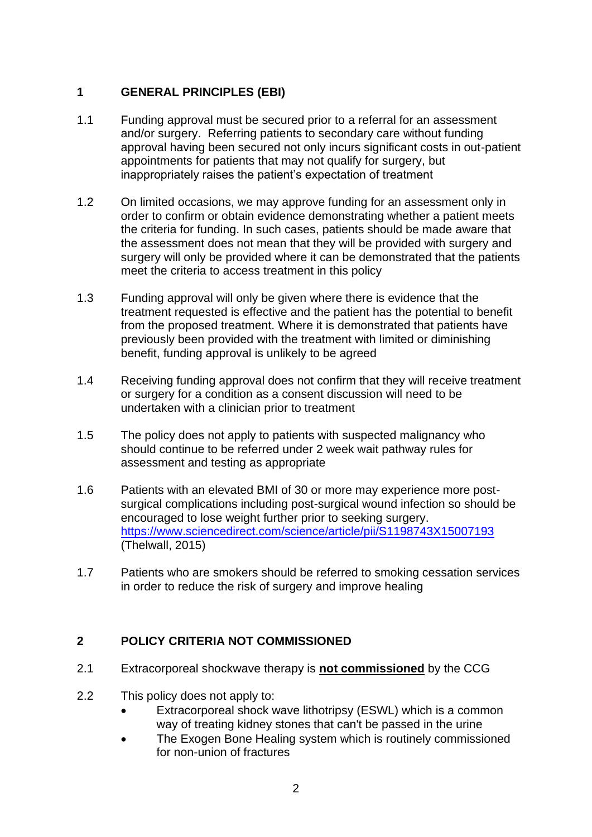## **1 GENERAL PRINCIPLES (EBI)**

- 1.1 Funding approval must be secured prior to a referral for an assessment and/or surgery. Referring patients to secondary care without funding approval having been secured not only incurs significant costs in out-patient appointments for patients that may not qualify for surgery, but inappropriately raises the patient's expectation of treatment
- 1.2 On limited occasions, we may approve funding for an assessment only in order to confirm or obtain evidence demonstrating whether a patient meets the criteria for funding. In such cases, patients should be made aware that the assessment does not mean that they will be provided with surgery and surgery will only be provided where it can be demonstrated that the patients meet the criteria to access treatment in this policy
- 1.3 Funding approval will only be given where there is evidence that the treatment requested is effective and the patient has the potential to benefit from the proposed treatment. Where it is demonstrated that patients have previously been provided with the treatment with limited or diminishing benefit, funding approval is unlikely to be agreed
- 1.4 Receiving funding approval does not confirm that they will receive treatment or surgery for a condition as a consent discussion will need to be undertaken with a clinician prior to treatment
- 1.5 The policy does not apply to patients with suspected malignancy who should continue to be referred under 2 week wait pathway rules for assessment and testing as appropriate
- 1.6 Patients with an elevated BMI of 30 or more may experience more postsurgical complications including post-surgical wound infection so should be encouraged to lose weight further prior to seeking surgery. <https://www.sciencedirect.com/science/article/pii/S1198743X15007193> (Thelwall, 2015)
- 1.7 Patients who are smokers should be referred to smoking cessation services in order to reduce the risk of surgery and improve healing

## **2 POLICY CRITERIA NOT COMMISSIONED**

- 2.1 Extracorporeal shockwave therapy is **not commissioned** by the CCG
- 2.2 This policy does not apply to:
	- Extracorporeal shock wave lithotripsy (ESWL) which is a common way of treating kidney stones that can't be passed in the urine
	- The Exogen Bone Healing system which is routinely commissioned for non-union of fractures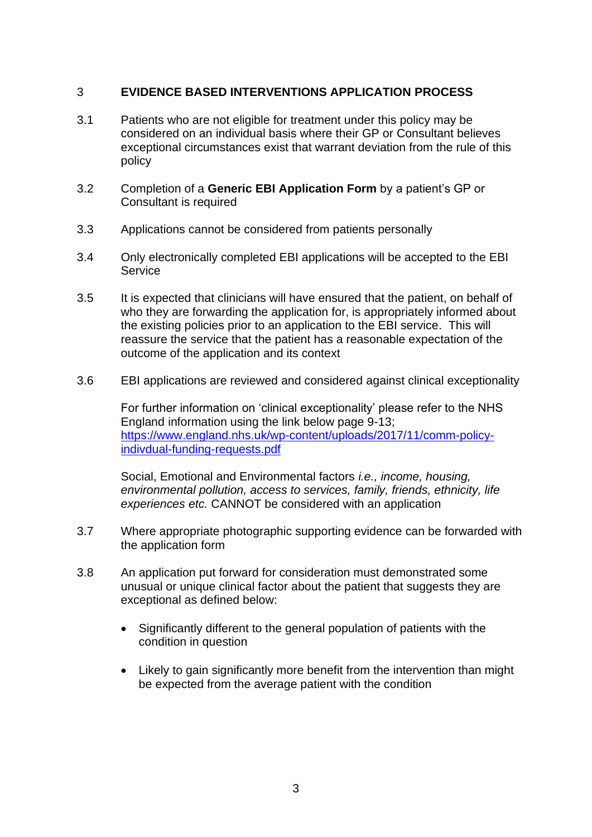#### 3 **EVIDENCE BASED INTERVENTIONS APPLICATION PROCESS**

- 3.1 Patients who are not eligible for treatment under this policy may be considered on an individual basis where their GP or Consultant believes exceptional circumstances exist that warrant deviation from the rule of this policy
- 3.2 Completion of a **Generic EBI Application Form** by a patient's GP or Consultant is required
- 3.3 Applications cannot be considered from patients personally
- 3.4 Only electronically completed EBI applications will be accepted to the EBI **Service**
- 3.5 It is expected that clinicians will have ensured that the patient, on behalf of who they are forwarding the application for, is appropriately informed about the existing policies prior to an application to the EBI service. This will reassure the service that the patient has a reasonable expectation of the outcome of the application and its context
- 3.6 EBI applications are reviewed and considered against clinical exceptionality

For further information on 'clinical exceptionality' please refer to the NHS England information using the link below page 9-13; [https://www.england.nhs.uk/wp-content/uploads/2017/11/comm-policy](https://www.england.nhs.uk/wp-content/uploads/2017/11/comm-policy-indivdual-funding-requests.pdf)[indivdual-funding-requests.pdf](https://www.england.nhs.uk/wp-content/uploads/2017/11/comm-policy-indivdual-funding-requests.pdf)

Social, Emotional and Environmental factors *i.e., income, housing, environmental pollution, access to services, family, friends, ethnicity, life experiences etc.* CANNOT be considered with an application

- 3.7 Where appropriate photographic supporting evidence can be forwarded with the application form
- 3.8 An application put forward for consideration must demonstrated some unusual or unique clinical factor about the patient that suggests they are exceptional as defined below:
	- Significantly different to the general population of patients with the condition in question
	- Likely to gain significantly more benefit from the intervention than might be expected from the average patient with the condition